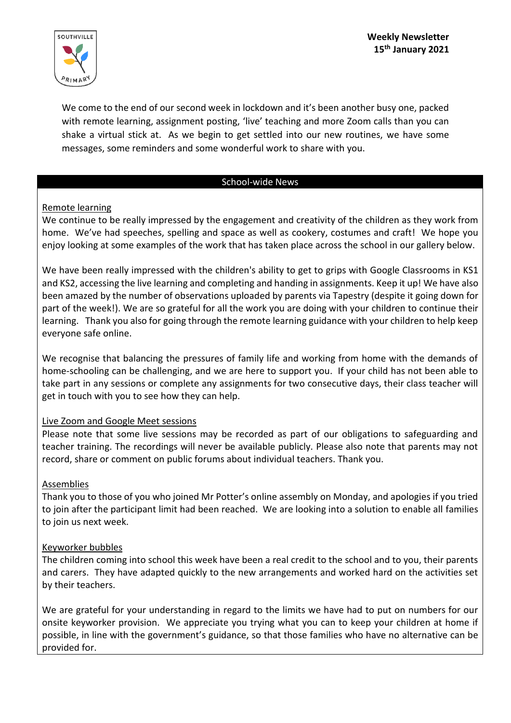

We come to the end of our second week in lockdown and it's been another busy one, packed with remote learning, assignment posting, 'live' teaching and more Zoom calls than you can shake a virtual stick at. As we begin to get settled into our new routines, we have some messages, some reminders and some wonderful work to share with you.

### School-wide News

# Remote learning

We continue to be really impressed by the engagement and creativity of the children as they work from home. We've had speeches, spelling and space as well as cookery, costumes and craft! We hope you enjoy looking at some examples of the work that has taken place across the school in our gallery below.

We have been really impressed with the children's ability to get to grips with Google Classrooms in KS1 and KS2, accessing the live learning and completing and handing in assignments. Keep it up! We have also been amazed by the number of observations uploaded by parents via Tapestry (despite it going down for part of the week!). We are so grateful for all the work you are doing with your children to continue their learning. Thank you also for going through the remote learning guidance with your children to help keep everyone safe online.

We recognise that balancing the pressures of family life and working from home with the demands of home-schooling can be challenging, and we are here to support you. If your child has not been able to take part in any sessions or complete any assignments for two consecutive days, their class teacher will get in touch with you to see how they can help.

# Live Zoom and Google Meet sessions

Please note that some live sessions may be recorded as part of our obligations to safeguarding and teacher training. The recordings will never be available publicly. Please also note that parents may not record, share or comment on public forums about individual teachers. Thank you.

# Assemblies

Thank you to those of you who joined Mr Potter's online assembly on Monday, and apologies if you tried to join after the participant limit had been reached. We are looking into a solution to enable all families to join us next week.

# Keyworker bubbles

The children coming into school this week have been a real credit to the school and to you, their parents and carers. They have adapted quickly to the new arrangements and worked hard on the activities set by their teachers.

We are grateful for your understanding in regard to the limits we have had to put on numbers for our onsite keyworker provision. We appreciate you trying what you can to keep your children at home if possible, in line with the government's guidance, so that those families who have no alternative can be provided for.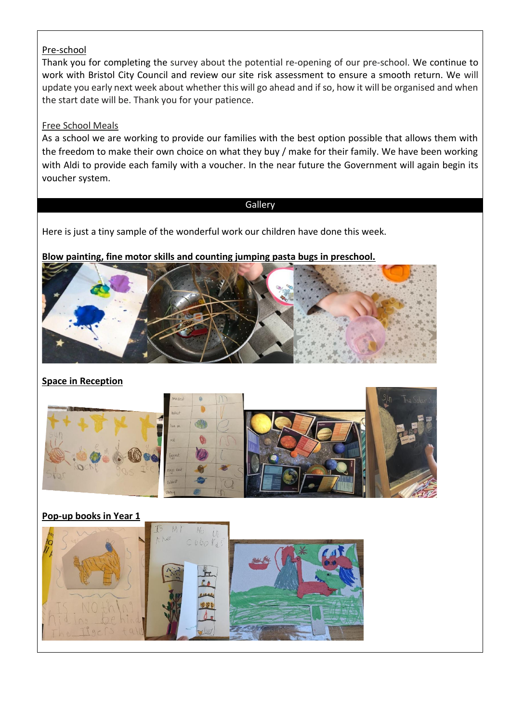### Pre-school

Thank you for completing the survey about the potential re-opening of our pre-school. We continue to work with Bristol City Council and review our site risk assessment to ensure a smooth return. We will update you early next week about whether this will go ahead and if so, how it will be organised and when the start date will be. Thank you for your patience.

### Free School Meals

As a school we are working to provide our families with the best option possible that allows them with the freedom to make their own choice on what they buy / make for their family. We have been working with Aldi to provide each family with a voucher. In the near future the Government will again begin its voucher system.

### Gallery

Here is just a tiny sample of the wonderful work our children have done this week.

**Blow painting, fine motor skills and counting jumping pasta bugs in preschool.**



# **Space in Reception**



# **Pop-up books in Year 1**

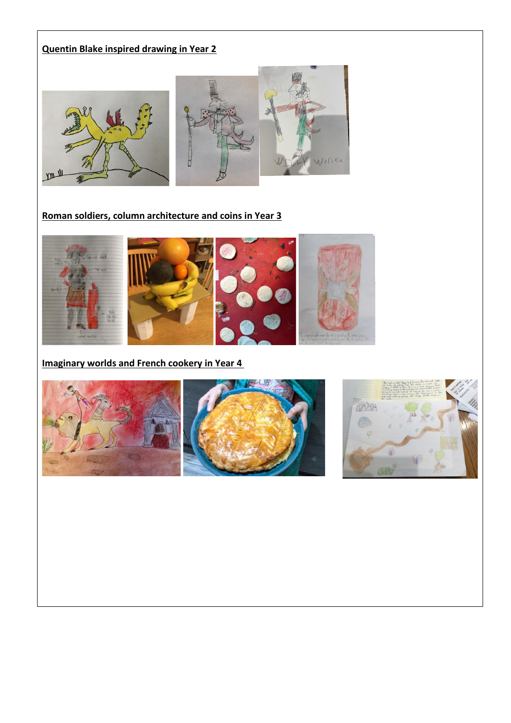# **Quentin Blake inspired drawing in Year 2**



# **Roman soldiers, column architecture and coins in Year 3**



# **Imaginary worlds and French cookery in Year 4**





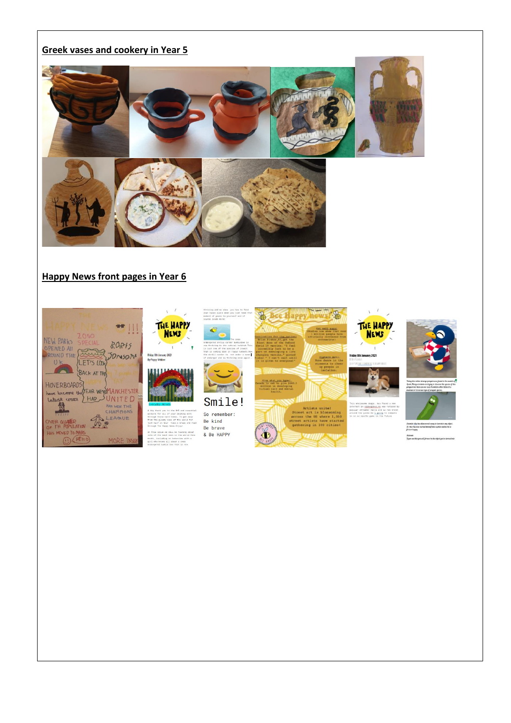### Greek vases and cookery in Year 5



#### Happy News front pages in Year 6





these hard times. To get<br>e gloomy news of the worl<br>if an hour take a break<br>. The Hanoy News Entow! In this issue we will be talking:<br>lets of the best news in the world<br>msnth, including an interview with<br>girl who knews all lebut a once<br>endangered humble bee that is now

Smile!

 $\ddot{\mathbf{C}}$ 

So remember: Be kind Be brave & Be HAPPY



 $\bigoplus$ 

Artists unitel<br>Street art is blossoming<br>across the US where 1,000<br>street artists have starte<br>qathering in 100 cities!

 $\mathcal{R}$ 



accounters in <u>videogenes.He</u> was n<br>popular streamer ninja and is n<br>around the globe.he <u>s going</u> to<br>in an ea sports game in the fut

Scientist <u>rike</u> has us<br>So rike has now turi<br>Greece happy :<br>Stalinate<br>If gewave this goes

.<br>Ell former be the object you're home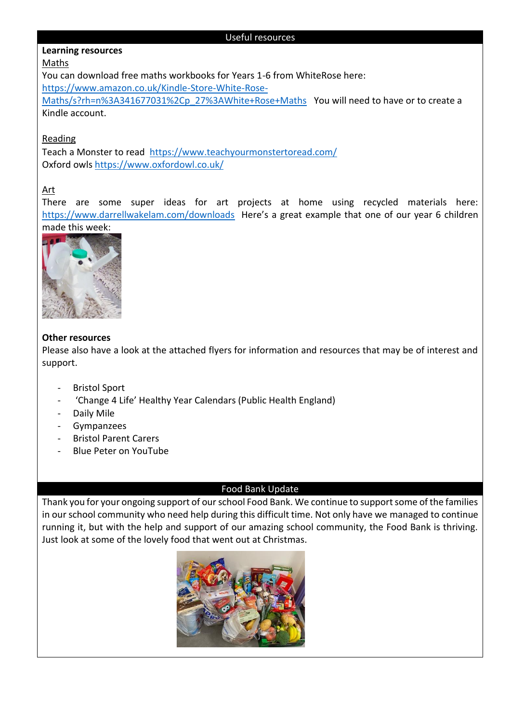#### Useful resources

### **Learning resources**

### Maths

You can download free maths workbooks for Years 1-6 from WhiteRose here:

[https://www.amazon.co.uk/Kindle-Store-White-Rose-](https://www.amazon.co.uk/Kindle-Store-White-Rose-Maths/s?rh=n%3A341677031%2Cp_27%3AWhite+Rose+Maths)

[Maths/s?rh=n%3A341677031%2Cp\\_27%3AWhite+Rose+Maths](https://www.amazon.co.uk/Kindle-Store-White-Rose-Maths/s?rh=n%3A341677031%2Cp_27%3AWhite+Rose+Maths) You will need to have or to create a Kindle account.

### Reading

Teach a Monster to read <https://www.teachyourmonstertoread.com/> Oxford owls<https://www.oxfordowl.co.uk/>

# Art

There are some super ideas for art projects at home using recycled materials here: <https://www.darrellwakelam.com/downloads> Here's a great example that one of our year 6 children made this week:



### **Other resources**

Please also have a look at the attached flyers for information and resources that may be of interest and support.

- Bristol Sport
- 'Change 4 Life' Healthy Year Calendars (Public Health England)
- Daily Mile
- Gympanzees
- Bristol Parent Carers
- Blue Peter on YouTube

### Food Bank Update

Thank you for your ongoing support of our school Food Bank. We continue to support some of the families in our school community who need help during this difficult time. Not only have we managed to continue running it, but with the help and support of our amazing school community, the Food Bank is thriving. Just look at some of the lovely food that went out at Christmas.